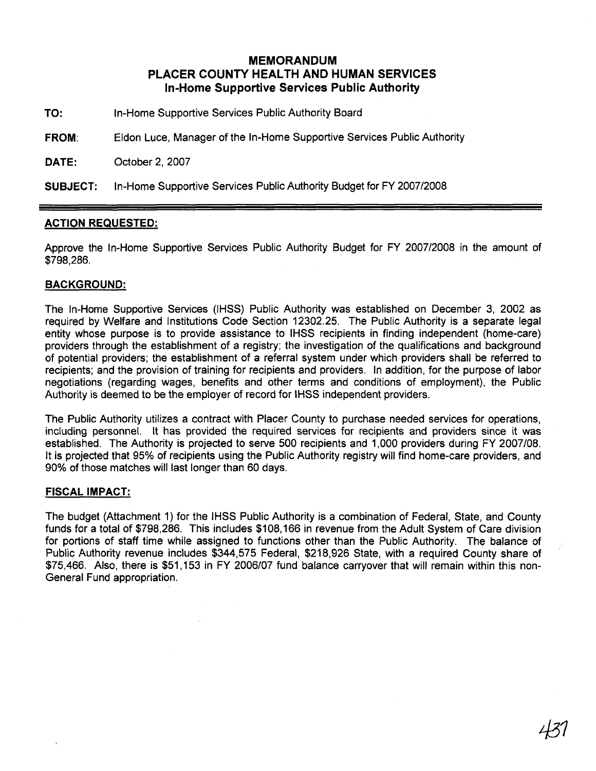# **MEMORANDUM PLACER COUNTY HEALTH AND HUMAN SERVICES In-Home Supportive Services Public Authority**

- **TO:** In-Home Supportive Services Public Authority Board
- **FROM:** Eldon Luce, Manager of the In-Home Supportive Services Public Authority

**DATE:** October 2, 2007

**SUBJECT:** In-Home Supportive Services Public Authority Budget for FY 2007/2008

### **ACTION REQUESTED:**

Approve the In-Home Supportive Services Public Authority Budget for FY 200712008 in the amount of \$798,286.

### **BACKGROUND:**

The In-Home Supportive Services (IHSS) Public Authority was established on December 3, 2002 as required by Welfare and Institutions Code Section 12302.25. The Public Authority is a separate legal entity whose purpose is to provide assistance to IHSS recipients in finding independent (home-care) providers through the establishment of a registry; the investigation of the qualifications and background of potential providers; the establishment of a referral system under which providers shall be referred to recipients; and the provision of training for recipients and providers. In addition, for the purpose of labor negotiations (regarding wages, benefits and other terms and conditions of employment), the Public Authority is deemed to be the employer of record for IHSS independent providers.

The Public Authority utilizes a contract with Placer County to purchase needed services for operations, including personnel. It has provided the required services for recipients and providers since it was established. The Authority is projected to serve 500 recipients and 1,000 providers during FY 2007108. It is projected that 95% of recipients using the Public Authority registry will find home-care providers, and 90% of those matches will last longer than 60 days.

#### **FISCAL IMPACT:**

The budget (Attachment 1) for the IHSS Public Authority is a combination of Federal, State, and County funds for a total of \$798,286. This includes \$108,166 in revenue from the Adult System of Care division for portions of staff time while assigned to functions other than the Public Authority. The balance of Public Authority revenue includes \$344,575 Federal, \$218,926 State, with a required County share of \$75,466. Also, there is \$51,153 in FY 2006/07 fund balance carryover that will remain within this non-General Fund appropriation.